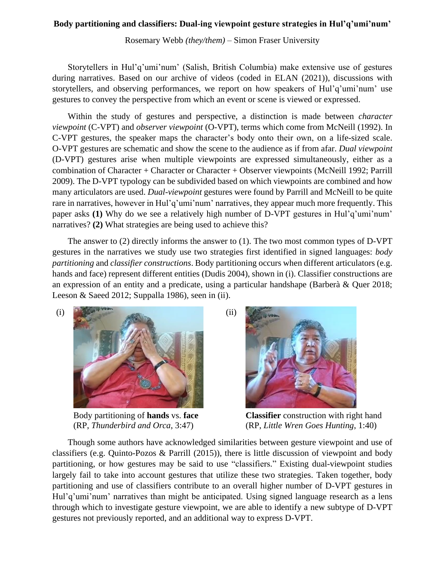## **Body partitioning and classifiers: Dual-ing viewpoint gesture strategies in Hul'q'umi'num'**

Rosemary Webb *(they/them)* – Simon Fraser University

Storytellers in Hul'q'umi'num' (Salish, British Columbia) make extensive use of gestures during narratives. Based on our archive of videos (coded in ELAN (2021)), discussions with storytellers, and observing performances, we report on how speakers of Hul'q'umi'num' use gestures to convey the perspective from which an event or scene is viewed or expressed.

Within the study of gestures and perspective, a distinction is made between *character viewpoint* (C-VPT) and *observer viewpoint* (O-VPT), terms which come from McNeill (1992). In C-VPT gestures, the speaker maps the character's body onto their own, on a life-sized scale. O-VPT gestures are schematic and show the scene to the audience as if from afar. *Dual viewpoint* (D-VPT) gestures arise when multiple viewpoints are expressed simultaneously, either as a combination of Character + Character or Character + Observer viewpoints (McNeill 1992; Parrill 2009). The D-VPT typology can be subdivided based on which viewpoints are combined and how many articulators are used. *Dual-viewpoint* gestures were found by Parrill and McNeill to be quite rare in narratives, however in Hul'q'umi'num' narratives, they appear much more frequently. This paper asks **(1)** Why do we see a relatively high number of D-VPT gestures in Hul'q'umi'num' narratives? **(2)** What strategies are being used to achieve this?

The answer to (2) directly informs the answer to (1). The two most common types of D-VPT gestures in the narratives we study use two strategies first identified in signed languages: *body partitioning* and *classifier constructions*. Body partitioning occurs when different articulators (e.g. hands and face) represent different entities (Dudis 2004), shown in (i). Classifier constructions are an expression of an entity and a predicate, using a particular handshape (Barberà & Quer 2018; Leeson & Saeed 2012; Suppalla 1986), seen in (ii).



Body partitioning of **hands** vs. **face** (RP, *Thunderbird and Orca*, 3:47)



**Classifier** construction with right hand (RP, *Little Wren Goes Hunting*, 1:40)

Though some authors have acknowledged similarities between gesture viewpoint and use of classifiers (e.g. Quinto-Pozos & Parrill (2015)), there is little discussion of viewpoint and body partitioning, or how gestures may be said to use "classifiers." Existing dual-viewpoint studies largely fail to take into account gestures that utilize these two strategies. Taken together, body partitioning and use of classifiers contribute to an overall higher number of D-VPT gestures in Hul'q'umi'num' narratives than might be anticipated. Using signed language research as a lens through which to investigate gesture viewpoint, we are able to identify a new subtype of D-VPT gestures not previously reported, and an additional way to express D-VPT.